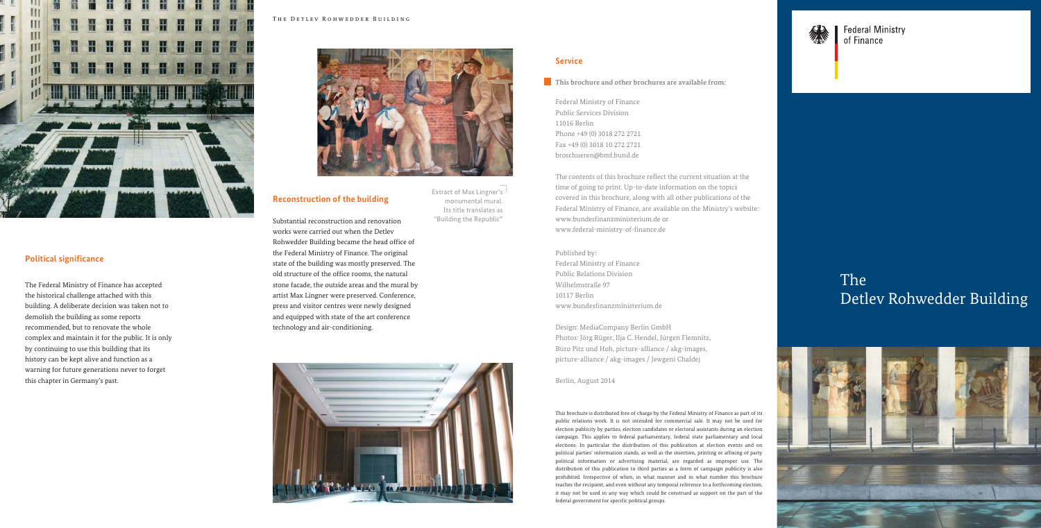#### Published by:

Federal Ministry of Finance Public Relations Division Wilhelmstraße 97 10117 Berlin www.bundesfinanzministerium.de

Design: MediaCompany Berlin GmbH Photos: Jörg Rüger, Ilja C. Hendel, Jürgen Flemnitz, Büro Pitz und Hoh, picture-alliance / akg-images, picture-alliance / akg-images / Jewgeni Chaldej

Berlin, August 2014

#### The Detlev Rohwedder Building



### **Service**

#### **This brochure and other brochures are available from:**

Federal Ministry of Finance Public Services Division 11016 Berlin Phone +49 (0) 3018 272 2721 Fax +49 (0) 3018 10 272 2721 broschueren@bmf.bund.de

The contents of this brochure reflect the current situation at the time of going to print. Up-to-date information on the topics covered in this brochure, along with all other publications of the Federal Ministry of Finance, are available on the Ministry's website: www.bundesfinanzministerium.de or www.federal-ministry-of-finance.de

This brochure is distributed free of charge by the Federal Ministry of Finance as part of its public relations work. It is not intended for commercial sale. It may not be used for election publicity by parties, election candidates or electoral assistants during an election campaign. This applies to federal parliamentary, federal state parliamentary and local elections. In particular the distribution of this publication at election events and on political parties' information stands, as well as the insertion, printing or affixing of party political information or advertising material, are regarded as improper use. The distribution of this publication to third parties as a form of campaign publicity is also prohibited. Irrespective of when, in what manner and in what number this brochure reaches the recipient, and even without any temporal reference to a forthcoming election, it may not be used in any way which could be construed as support on the part of the federal government for specific political groups.



**Federal Ministry** of Finance

Extract of Max Lingner's monumental mural. Its title translates as "Building the Republic"

## **Reconstruction of the building**

Substantial reconstruction and renovation works were carried out when the Detlev Rohwedder Building became the head office of the Federal Ministry of Finance. The original state of the building was mostly preserved. The old structure of the office rooms, the natural stone facade, the outside areas and the mural by artist Max Lingner were preserved. Conference, press and visitor centres were newly designed and equipped with state of the art conference technology and air-conditioning.



## **Political significance**

The Federal Ministry of Finance has accepted the historical challenge attached with this building. A deliberate decision was taken not to demolish the building as some reports recommended, but to renovate the whole complex and maintain it for the public. It is only by continuing to use this building that its history can be kept alive and function as a warning for future generations never to forget this chapter in Germany's past.

# The Detlev Rohwedder Building